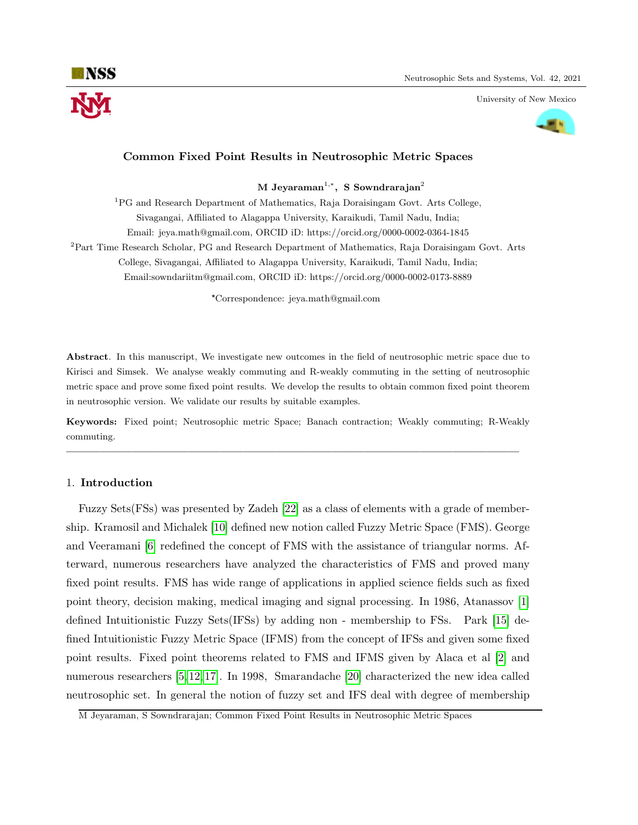

University of New Mexico



# Common Fixed Point Results in Neutrosophic Metric Spaces

M Jeyaraman<sup>1,\*</sup>, S Sowndrarajan<sup>2</sup>

<sup>1</sup>PG and Research Department of Mathematics, Raja Doraisingam Govt. Arts College, Sivagangai, Affiliated to Alagappa University, Karaikudi, Tamil Nadu, India; Email: jeya.math@gmail.com, ORCID iD: https://orcid.org/0000-0002-0364-1845 <sup>2</sup>Part Time Research Scholar, PG and Research Department of Mathematics, Raja Doraisingam Govt. Arts College, Sivagangai, Affiliated to Alagappa University, Karaikudi, Tamil Nadu, India;

Email:sowndariitm@gmail.com, ORCID iD: https://orcid.org/0000-0002-0173-8889

\*Correspondence: jeya.math@gmail.com

Abstract. In this manuscript, We investigate new outcomes in the field of neutrosophic metric space due to Kirisci and Simsek. We analyse weakly commuting and R-weakly commuting in the setting of neutrosophic metric space and prove some fixed point results. We develop the results to obtain common fixed point theorem in neutrosophic version. We validate our results by suitable examples.

Keywords: Fixed point; Neutrosophic metric Space; Banach contraction; Weakly commuting; R-Weakly commuting.

—————————————————————————————————————————

#### 1. Introduction

Fuzzy Sets(FSs) was presented by Zadeh [\[22\]](#page-12-0) as a class of elements with a grade of membership. Kramosil and Michalek [\[10\]](#page-12-1) defined new notion called Fuzzy Metric Space (FMS). George and Veeramani [\[6\]](#page-12-2) redefined the concept of FMS with the assistance of triangular norms. Afterward, numerous researchers have analyzed the characteristics of FMS and proved many fixed point results. FMS has wide range of applications in applied science fields such as fixed point theory, decision making, medical imaging and signal processing. In 1986, Atanassov [\[1\]](#page-12-3) defined Intuitionistic Fuzzy Sets(IFSs) by adding non - membership to FSs. Park [\[15\]](#page-12-4) defined Intuitionistic Fuzzy Metric Space (IFMS) from the concept of IFSs and given some fixed point results. Fixed point theorems related to FMS and IFMS given by Alaca et al [\[2\]](#page-12-5) and numerous researchers [\[5,](#page-12-6) [12,](#page-12-7) [17\]](#page-12-8). In 1998, Smarandache [\[20\]](#page-12-9) characterized the new idea called neutrosophic set. In general the notion of fuzzy set and IFS deal with degree of membership

M Jeyaraman, S Sowndrarajan; Common Fixed Point Results in Neutrosophic Metric Spaces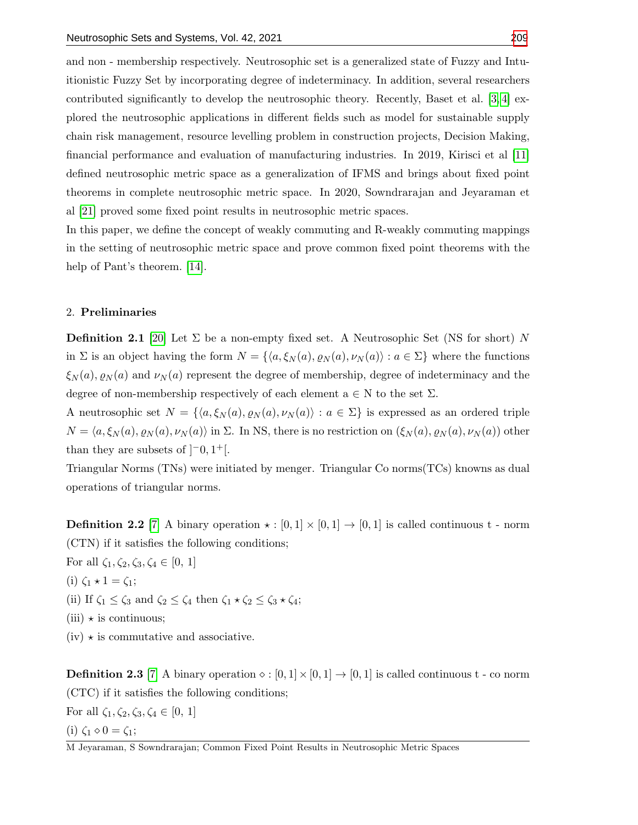and non - membership respectively. Neutrosophic set is a generalized state of Fuzzy and Intuitionistic Fuzzy Set by incorporating degree of indeterminacy. In addition, several researchers contributed significantly to develop the neutrosophic theory. Recently, Baset et al. [\[3,](#page-12-11) [4\]](#page-12-12) explored the neutrosophic applications in different fields such as model for sustainable supply chain risk management, resource levelling problem in construction projects, Decision Making, financial performance and evaluation of manufacturing industries. In 2019, Kirisci et al [\[11\]](#page-12-13) defined neutrosophic metric space as a generalization of IFMS and brings about fixed point theorems in complete neutrosophic metric space. In 2020, Sowndrarajan and Jeyaraman et al [\[21\]](#page-12-14) proved some fixed point results in neutrosophic metric spaces.

In this paper, we define the concept of weakly commuting and R-weakly commuting mappings in the setting of neutrosophic metric space and prove common fixed point theorems with the help of Pant's theorem. [\[14\]](#page-12-15).

### 2. Preliminaries

**Definition 2.1** [\[20\]](#page-12-9) Let  $\Sigma$  be a non-empty fixed set. A Neutrosophic Set (NS for short) N in  $\Sigma$  is an object having the form  $N = \{ \langle a, \xi_N (a), \varrho_N (a), \nu_N (a) \rangle : a \in \Sigma \}$  where the functions  $\xi_N(a), \varrho_N(a)$  and  $\nu_N(a)$  represent the degree of membership, degree of indeterminacy and the degree of non-membership respectively of each element  $a \in N$  to the set  $\Sigma$ .

A neutrosophic set  $N = \{ \langle a, \xi_N(a), \varrho_N(a), \nu_N(a) \rangle : a \in \Sigma \}$  is expressed as an ordered triple  $N = \langle a, \xi_N (a), \varrho_N (a), \nu_N (a) \rangle$  in  $\Sigma$ . In NS, there is no restriction on  $(\xi_N (a), \varrho_N (a), \nu_N (a))$  other than they are subsets of  $[-0, 1^+]$ .

Triangular Norms (TNs) were initiated by menger. Triangular Co norms(TCs) knowns as dual operations of triangular norms.

**Definition 2.2** [\[7\]](#page-12-16) A binary operation  $\star : [0,1] \times [0,1] \rightarrow [0,1]$  is called continuous t - norm (CTN) if it satisfies the following conditions;

For all  $\zeta_1, \zeta_2, \zeta_3, \zeta_4 \in [0, 1]$ (i)  $\zeta_1 \star 1 = \zeta_1;$ (ii) If  $\zeta_1 \leq \zeta_3$  and  $\zeta_2 \leq \zeta_4$  then  $\zeta_1 \star \zeta_2 \leq \zeta_3 \star \zeta_4$ ;  $(iii) \star is$  continuous;  $(iv) \star$  is commutative and associative.

**Definition 2.3** [\[7\]](#page-12-16) A binary operation  $\diamond : [0,1] \times [0,1] \rightarrow [0,1]$  is called continuous t - co norm (CTC) if it satisfies the following conditions;

For all  $\zeta_1, \zeta_2, \zeta_3, \zeta_4 \in [0, 1]$ (i)  $\zeta_1 \diamond 0 = \zeta_1;$ 

M Jeyaraman, S Sowndrarajan; Common Fixed Point Results in Neutrosophic Metric Spaces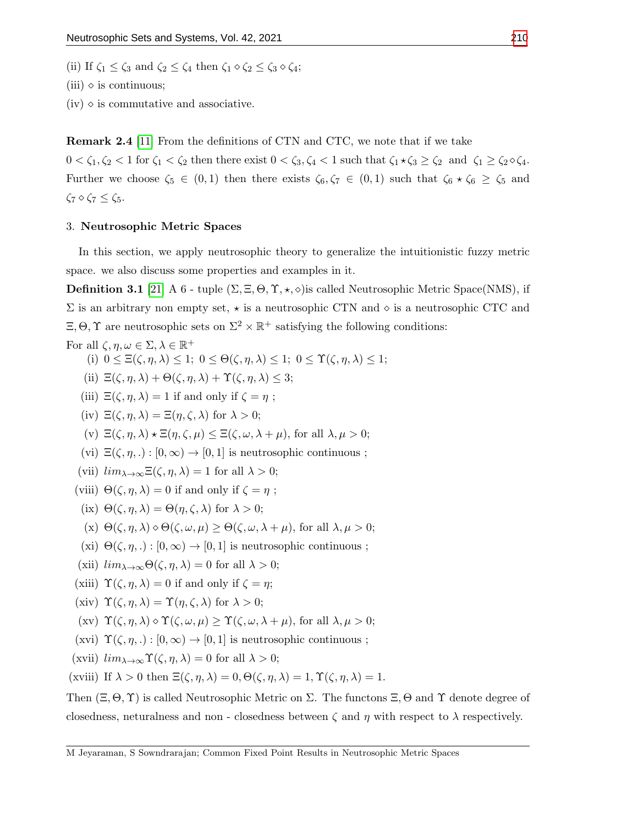(ii) If  $\zeta_1 \leq \zeta_3$  and  $\zeta_2 \leq \zeta_4$  then  $\zeta_1 \diamond \zeta_2 \leq \zeta_3 \diamond \zeta_4$ ;

 $(iii) \diamond$  is continuous;

 $(iv)$   $\diamond$  is commutative and associative.

Remark 2.4 [\[11\]](#page-12-13) From the definitions of CTN and CTC, we note that if we take

 $0 < \zeta_1, \zeta_2 < 1$  for  $\zeta_1 < \zeta_2$  then there exist  $0 < \zeta_3, \zeta_4 < 1$  such that  $\zeta_1 \star \zeta_3 \geq \zeta_2$  and  $\zeta_1 \geq \zeta_2 \circ \zeta_4$ . Further we choose  $\zeta_5 \in (0,1)$  then there exists  $\zeta_6, \zeta_7 \in (0,1)$  such that  $\zeta_6 \star \zeta_6 \geq \zeta_5$  and  $\zeta_7 \diamond \zeta_7 \leq \zeta_5.$ 

### 3. Neutrosophic Metric Spaces

In this section, we apply neutrosophic theory to generalize the intuitionistic fuzzy metric space. we also discuss some properties and examples in it.

**Definition 3.1** [\[21\]](#page-12-14) A 6 - tuple  $(\Sigma, \Xi, \Theta, \Upsilon, \star, \diamond)$  is called Neutrosophic Metric Space(NMS), if  $\Sigma$  is an arbitrary non empty set,  $\star$  is a neutrosophic CTN and  $\diamond$  is a neutrosophic CTC and  $\Xi$ ,  $\Theta$ ,  $\Upsilon$  are neutrosophic sets on  $\Sigma^2 \times \mathbb{R}^+$  satisfying the following conditions:

For all  $\zeta, \eta, \omega \in \Sigma, \lambda \in \mathbb{R}^+$ (i)  $0 \leq \Xi(\zeta, \eta, \lambda) \leq 1$ ;  $0 \leq \Theta(\zeta, \eta, \lambda) \leq 1$ ;  $0 \leq \Upsilon(\zeta, \eta, \lambda) \leq 1$ ; (ii)  $\Xi(\zeta, \eta, \lambda) + \Theta(\zeta, \eta, \lambda) + \Upsilon(\zeta, \eta, \lambda) \leq 3;$ (iii)  $\Xi(\zeta, \eta, \lambda) = 1$  if and only if  $\zeta = \eta$ ; (iv)  $\Xi(\zeta, \eta, \lambda) = \Xi(\eta, \zeta, \lambda)$  for  $\lambda > 0$ ; (v)  $\Xi(\zeta, \eta, \lambda) \star \Xi(\eta, \zeta, \mu) \leq \Xi(\zeta, \omega, \lambda + \mu)$ , for all  $\lambda, \mu > 0$ ; (vi)  $\Xi(\zeta, \eta, .): [0, \infty) \to [0, 1]$  is neutrosophic continuous; (vii)  $\lim_{\lambda \to \infty} \Xi(\zeta, \eta, \lambda) = 1$  for all  $\lambda > 0$ ; (viii)  $\Theta(\zeta, \eta, \lambda) = 0$  if and only if  $\zeta = \eta$ ; (ix)  $\Theta(\zeta, \eta, \lambda) = \Theta(\eta, \zeta, \lambda)$  for  $\lambda > 0$ ; (x)  $\Theta(\zeta, \eta, \lambda) \diamond \Theta(\zeta, \omega, \mu) \geq \Theta(\zeta, \omega, \lambda + \mu)$ , for all  $\lambda, \mu > 0$ ; (xi)  $\Theta(\zeta, \eta, .): [0, \infty) \to [0, 1]$  is neutrosophic continuous; (xii)  $\lim_{\lambda \to \infty} \Theta(\zeta, \eta, \lambda) = 0$  for all  $\lambda > 0$ ; (xiii)  $\Upsilon(\zeta, \eta, \lambda) = 0$  if and only if  $\zeta = \eta$ ; (xiv)  $\Upsilon(\zeta, \eta, \lambda) = \Upsilon(\eta, \zeta, \lambda)$  for  $\lambda > 0$ ; (xv)  $\Upsilon(\zeta, \eta, \lambda) \diamond \Upsilon(\zeta, \omega, \mu) \geq \Upsilon(\zeta, \omega, \lambda + \mu)$ , for all  $\lambda, \mu > 0$ ; (xvi)  $\Upsilon(\zeta, \eta, .): [0, \infty) \to [0, 1]$  is neutrosophic continuous; (xvii)  $\lim_{\lambda \to \infty} \Upsilon(\zeta, \eta, \lambda) = 0$  for all  $\lambda > 0$ ; (xviii) If  $\lambda > 0$  then  $\Xi(\zeta, \eta, \lambda) = 0$ ,  $\Theta(\zeta, \eta, \lambda) = 1$ ,  $\Upsilon(\zeta, \eta, \lambda) = 1$ .

Then  $(\Xi, \Theta, \Upsilon)$  is called Neutrosophic Metric on  $\Sigma$ . The functons  $\Xi$ ,  $\Theta$  and  $\Upsilon$  denote degree of closedness, neturalness and non - closedness between  $\zeta$  and  $\eta$  with respect to  $\lambda$  respectively.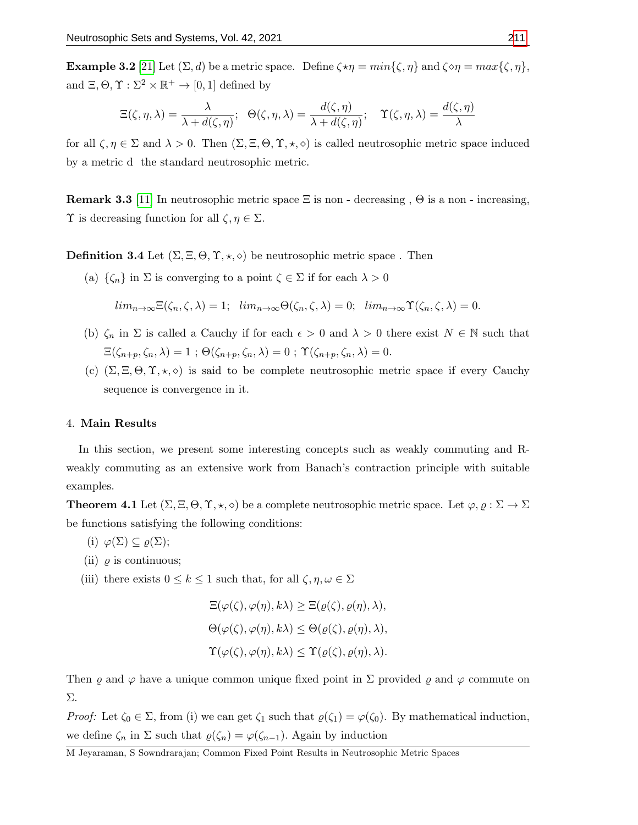**Example 3.2** [\[21\]](#page-12-14) Let  $(\Sigma, d)$  be a metric space. Define  $\zeta \star \eta = min{\zeta, \eta}$  and  $\zeta \circ \eta = max{\zeta, \eta}$ , and  $\Xi, \Theta, \Upsilon: \Sigma^2 \times \mathbb{R}^+ \to [0,1]$  defined by

$$
\Xi(\zeta,\eta,\lambda) = \frac{\lambda}{\lambda + d(\zeta,\eta)}; \quad \Theta(\zeta,\eta,\lambda) = \frac{d(\zeta,\eta)}{\lambda + d(\zeta,\eta)}; \quad \Upsilon(\zeta,\eta,\lambda) = \frac{d(\zeta,\eta)}{\lambda}
$$

for all  $\zeta, \eta \in \Sigma$  and  $\lambda > 0$ . Then  $(\Sigma, \Xi, \Theta, \Upsilon, \star, \diamond)$  is called neutrosophic metric space induced by a metric d the standard neutrosophic metric.

**Remark 3.3** [\[11\]](#page-12-13) In neutrosophic metric space  $\Xi$  is non - decreasing ,  $\Theta$  is a non - increasing,  $\Upsilon$  is decreasing function for all  $\zeta, \eta \in \Sigma$ .

**Definition 3.4** Let  $(\Sigma, \Xi, \Theta, \Upsilon, \star, \diamond)$  be neutrosophic metric space. Then

(a)  $\{\zeta_n\}$  in  $\Sigma$  is converging to a point  $\zeta \in \Sigma$  if for each  $\lambda > 0$ 

 $\lim_{n\to\infty}\Xi(\zeta_n,\zeta,\lambda)=1; \ \ \lim_{n\to\infty}\Theta(\zeta_n,\zeta,\lambda)=0; \ \ \lim_{n\to\infty}\Upsilon(\zeta_n,\zeta,\lambda)=0.$ 

- (b)  $\zeta_n$  in  $\Sigma$  is called a Cauchy if for each  $\epsilon > 0$  and  $\lambda > 0$  there exist  $N \in \mathbb{N}$  such that  $\Xi(\zeta_{n+p}, \zeta_n, \lambda) = 1$ ;  $\Theta(\zeta_{n+p}, \zeta_n, \lambda) = 0$ ;  $\Upsilon(\zeta_{n+p}, \zeta_n, \lambda) = 0$ .
- (c)  $(\Sigma, \Xi, \Theta, \Upsilon, \star, \diamond)$  is said to be complete neutrosophic metric space if every Cauchy sequence is convergence in it.

## 4. Main Results

In this section, we present some interesting concepts such as weakly commuting and Rweakly commuting as an extensive work from Banach's contraction principle with suitable examples.

**Theorem 4.1** Let  $(\Sigma, \Xi, \Theta, \Upsilon, \star, \diamond)$  be a complete neutrosophic metric space. Let  $\varphi, \varrho : \Sigma \to \Sigma$ be functions satisfying the following conditions:

- (i)  $\varphi(\Sigma) \subseteq \varrho(\Sigma);$
- (ii)  $\rho$  is continuous;
- (iii) there exists  $0 \leq k \leq 1$  such that, for all  $\zeta, \eta, \omega \in \Sigma$

$$
\Xi(\varphi(\zeta), \varphi(\eta), k\lambda) \geq \Xi(\varrho(\zeta), \varrho(\eta), \lambda),
$$
  
\n
$$
\Theta(\varphi(\zeta), \varphi(\eta), k\lambda) \leq \Theta(\varrho(\zeta), \varrho(\eta), \lambda),
$$
  
\n
$$
\Upsilon(\varphi(\zeta), \varphi(\eta), k\lambda) \leq \Upsilon(\varrho(\zeta), \varrho(\eta), \lambda).
$$

Then  $\varrho$  and  $\varphi$  have a unique common unique fixed point in  $\Sigma$  provided  $\varrho$  and  $\varphi$  commute on Σ.

Proof: Let  $\zeta_0 \in \Sigma$ , from (i) we can get  $\zeta_1$  such that  $\varrho(\zeta_1) = \varphi(\zeta_0)$ . By mathematical induction, we define  $\zeta_n$  in  $\Sigma$  such that  $\varrho(\zeta_n) = \varphi(\zeta_{n-1})$ . Again by induction

M Jeyaraman, S Sowndrarajan; Common Fixed Point Results in Neutrosophic Metric Spaces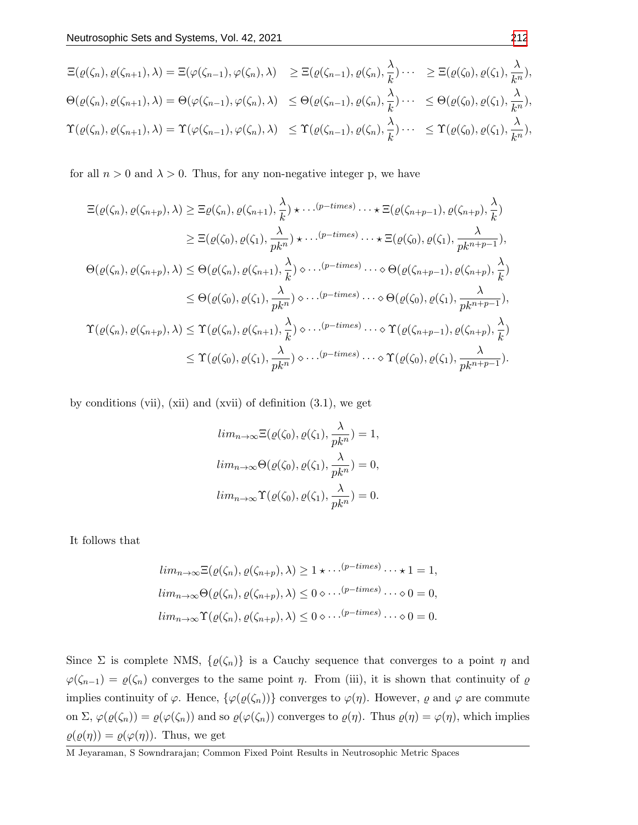$$
\begin{split}\n\Xi(\varrho(\zeta_n), \varrho(\zeta_{n+1}), \lambda) &= \Xi(\varphi(\zeta_{n-1}), \varphi(\zeta_n), \lambda) \quad \geq \Xi(\varrho(\zeta_{n-1}), \varrho(\zeta_n), \frac{\lambda}{k}) \cdots \quad \geq \Xi(\varrho(\zeta_0), \varrho(\zeta_1), \frac{\lambda}{k^n}), \\
\Theta(\varrho(\zeta_n), \varrho(\zeta_{n+1}), \lambda) &= \Theta(\varphi(\zeta_{n-1}), \varphi(\zeta_n), \lambda) \quad \leq \Theta(\varrho(\zeta_{n-1}), \varrho(\zeta_n), \frac{\lambda}{k}) \cdots \quad \leq \Theta(\varrho(\zeta_0), \varrho(\zeta_1), \frac{\lambda}{k^n}), \\
\Upsilon(\varrho(\zeta_n), \varrho(\zeta_{n+1}), \lambda) &= \Upsilon(\varphi(\zeta_{n-1}), \varphi(\zeta_n), \lambda) \quad \leq \Upsilon(\varrho(\zeta_{n-1}), \varrho(\zeta_n), \frac{\lambda}{k}) \cdots \quad \leq \Upsilon(\varrho(\zeta_0), \varrho(\zeta_1), \frac{\lambda}{k^n}),\n\end{split}
$$

for all  $n > 0$  and  $\lambda > 0$ . Thus, for any non-negative integer p, we have

$$
\begin{split}\n\Xi(\varrho(\zeta_{n}),\varrho(\zeta_{n+p}),\lambda) &\geq \Xi\varrho(\zeta_{n}),\varrho(\zeta_{n+1}),\frac{\lambda}{k}) \star \cdots^{(p-times)} \cdots \star \Xi(\varrho(\zeta_{n+p-1}),\varrho(\zeta_{n+p}),\frac{\lambda}{k}) \\
&\geq \Xi(\varrho(\zeta_{0}),\varrho(\zeta_{1}),\frac{\lambda}{pk^{n}}) \star \cdots^{(p-times)} \cdots \star \Xi(\varrho(\zeta_{0}),\varrho(\zeta_{1}),\frac{\lambda}{pk^{n+p-1}}), \\
\Theta(\varrho(\zeta_{n}),\varrho(\zeta_{n+p}),\lambda) &\leq \Theta(\varrho(\zeta_{n}),\varrho(\zeta_{n+1}),\frac{\lambda}{k}) \diamond \cdots^{(p-times)} \cdots \diamond \Theta(\varrho(\zeta_{n+p-1}),\varrho(\zeta_{n+p}),\frac{\lambda}{k}) \\
&\leq \Theta(\varrho(\zeta_{0}),\varrho(\zeta_{1}),\frac{\lambda}{pk^{n}}) \diamond \cdots^{(p-times)} \cdots \diamond \Theta(\varrho(\zeta_{0}),\varrho(\zeta_{1}),\frac{\lambda}{pk^{n+p-1}}), \\
\Upsilon(\varrho(\zeta_{n}),\varrho(\zeta_{n+p}),\lambda) &\leq \Upsilon(\varrho(\zeta_{n}),\varrho(\zeta_{n+1}),\frac{\lambda}{k}) \diamond \cdots^{(p-times)} \cdots \diamond \Upsilon(\varrho(\zeta_{n+p-1}),\varrho(\zeta_{n+p}),\frac{\lambda}{k}) \\
&\leq \Upsilon(\varrho(\zeta_{0}),\varrho(\zeta_{1}),\frac{\lambda}{pk^{n}}) \diamond \cdots^{(p-times)} \cdots \diamond \Upsilon(\varrho(\zeta_{0}),\varrho(\zeta_{1}),\frac{\lambda}{pk^{n+p-1}}).\n\end{split}
$$

by conditions (vii), (xii) and (xvii) of definition  $(3.1)$ , we get

$$
lim_{n\to\infty} \Xi(\varrho(\zeta_0), \varrho(\zeta_1), \frac{\lambda}{pk^n}) = 1,
$$
  

$$
lim_{n\to\infty} \Theta(\varrho(\zeta_0), \varrho(\zeta_1), \frac{\lambda}{pk^n}) = 0,
$$
  

$$
lim_{n\to\infty} \Upsilon(\varrho(\zeta_0), \varrho(\zeta_1), \frac{\lambda}{pk^n}) = 0.
$$

It follows that

$$
lim_{n\to\infty} \Xi(\varrho(\zeta_n), \varrho(\zeta_{n+p}), \lambda) \ge 1 \star \cdots^{(p-times)} \cdots \star 1 = 1,
$$
  
\n
$$
lim_{n\to\infty} \Theta(\varrho(\zeta_n), \varrho(\zeta_{n+p}), \lambda) \le 0 \diamond \cdots^{(p-times)} \cdots \diamond 0 = 0,
$$
  
\n
$$
lim_{n\to\infty} \Upsilon(\varrho(\zeta_n), \varrho(\zeta_{n+p}), \lambda) \le 0 \diamond \cdots^{(p-times)} \cdots \diamond 0 = 0.
$$

Since  $\Sigma$  is complete NMS,  $\{\varrho(\zeta_n)\}\$ is a Cauchy sequence that converges to a point  $\eta$  and  $\varphi(\zeta_{n-1}) = \varrho(\zeta_n)$  converges to the same point  $\eta$ . From (iii), it is shown that continuity of  $\varrho$ implies continuity of  $\varphi$ . Hence,  $\{\varphi(\varrho(\zeta_n))\}$  converges to  $\varphi(\eta)$ . However,  $\varrho$  and  $\varphi$  are commute on  $\Sigma$ ,  $\varphi(\varrho(\zeta_n)) = \varrho(\varphi(\zeta_n))$  and so  $\varrho(\varphi(\zeta_n))$  converges to  $\varrho(\eta)$ . Thus  $\varrho(\eta) = \varphi(\eta)$ , which implies  $\varrho(\varrho(\eta)) = \varrho(\varphi(\eta))$ . Thus, we get

M Jeyaraman, S Sowndrarajan; Common Fixed Point Results in Neutrosophic Metric Spaces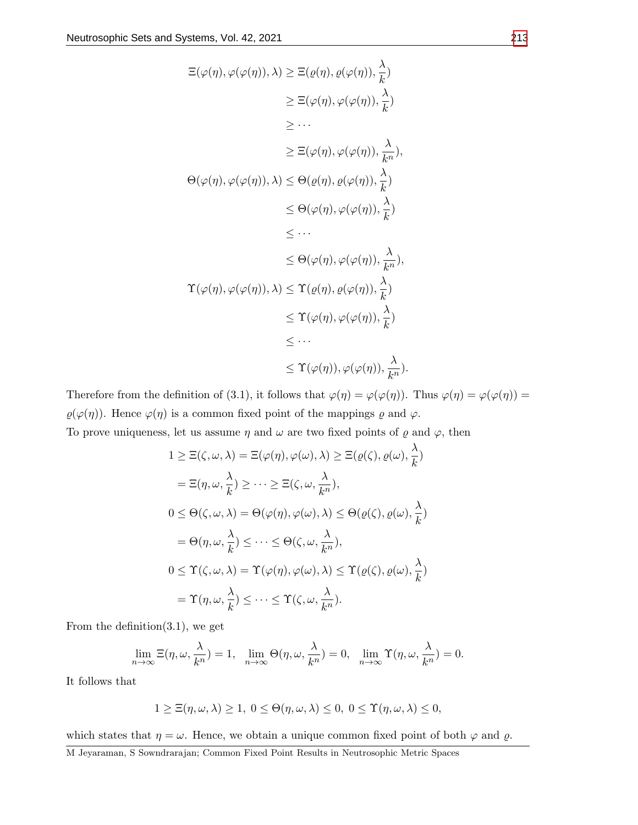$$
\begin{aligned}\n\Xi(\varphi(\eta), \varphi(\varphi(\eta)), \lambda) &\geq \Xi(\varrho(\eta), \varrho(\varphi(\eta)), \frac{\lambda}{k}) \\
&\geq \Xi(\varphi(\eta), \varphi(\varphi(\eta)), \frac{\lambda}{k}) \\
&\geq \cdots \\
&\geq \Xi(\varphi(\eta), \varphi(\varphi(\eta)), \frac{\lambda}{k}), \\
\Theta(\varphi(\eta), \varphi(\varphi(\eta)), \lambda) &\leq \Theta(\varrho(\eta), \varrho(\varphi(\eta)), \frac{\lambda}{k}) \\
&\leq \Theta(\varphi(\eta), \varphi(\varphi(\eta)), \frac{\lambda}{k}) \\
&\leq \cdots \\
&\leq \Theta(\varphi(\eta), \varphi(\varphi(\eta)), \frac{\lambda}{k}), \\
\Upsilon(\varphi(\eta), \varphi(\varphi(\eta)), \lambda) &\leq \Upsilon(\varrho(\eta), \varrho(\varphi(\eta)), \frac{\lambda}{k}) \\
&\leq \cdots \\
&\leq \Upsilon(\varphi(\eta), \varphi(\varphi(\eta)), \frac{\lambda}{k}) \\
&\leq \cdots \\
&\leq \Upsilon(\varphi(\eta), \varphi(\varphi(\eta)), \frac{\lambda}{k}).\n\end{aligned}
$$

Therefore from the definition of (3.1), it follows that  $\varphi(\eta) = \varphi(\varphi(\eta))$ . Thus  $\varphi(\eta) = \varphi(\varphi(\eta)) = \varphi(\eta)$  $\varrho(\varphi(\eta))$ . Hence  $\varphi(\eta)$  is a common fixed point of the mappings  $\varrho$  and  $\varphi$ . To prove uniqueness, let us assume  $\eta$  and  $\omega$  are two fixed points of  $\varrho$  and  $\varphi$ , then

$$
1 \geq \Xi(\zeta, \omega, \lambda) = \Xi(\varphi(\eta), \varphi(\omega), \lambda) \geq \Xi(\varrho(\zeta), \varrho(\omega), \frac{\lambda}{k})
$$

$$
= \Xi(\eta, \omega, \frac{\lambda}{k}) \geq \cdots \geq \Xi(\zeta, \omega, \frac{\lambda}{k^n}),
$$
  
\n
$$
0 \leq \Theta(\zeta, \omega, \lambda) = \Theta(\varphi(\eta), \varphi(\omega), \lambda) \leq \Theta(\varrho(\zeta), \varrho(\omega), \frac{\lambda}{k})
$$
  
\n
$$
= \Theta(\eta, \omega, \frac{\lambda}{k}) \leq \cdots \leq \Theta(\zeta, \omega, \frac{\lambda}{k^n}),
$$
  
\n
$$
0 \leq \Upsilon(\zeta, \omega, \lambda) = \Upsilon(\varphi(\eta), \varphi(\omega), \lambda) \leq \Upsilon(\varrho(\zeta), \varrho(\omega), \frac{\lambda}{k})
$$
  
\n
$$
= \Upsilon(\eta, \omega, \frac{\lambda}{k}) \leq \cdots \leq \Upsilon(\zeta, \omega, \frac{\lambda}{k^n}).
$$

From the definition $(3.1)$ , we get

$$
\lim_{n \to \infty} \Xi(\eta, \omega, \frac{\lambda}{k^n}) = 1, \quad \lim_{n \to \infty} \Theta(\eta, \omega, \frac{\lambda}{k^n}) = 0, \quad \lim_{n \to \infty} \Upsilon(\eta, \omega, \frac{\lambda}{k^n}) = 0.
$$

It follows that

$$
1 \geq \Xi(\eta,\omega,\lambda) \geq 1, \ 0 \leq \Theta(\eta,\omega,\lambda) \leq 0, \ 0 \leq \Upsilon(\eta,\omega,\lambda) \leq 0,
$$

which states that  $\eta = \omega$ . Hence, we obtain a unique common fixed point of both  $\varphi$  and  $\varrho$ .

M Jeyaraman, S Sowndrarajan; Common Fixed Point Results in Neutrosophic Metric Spaces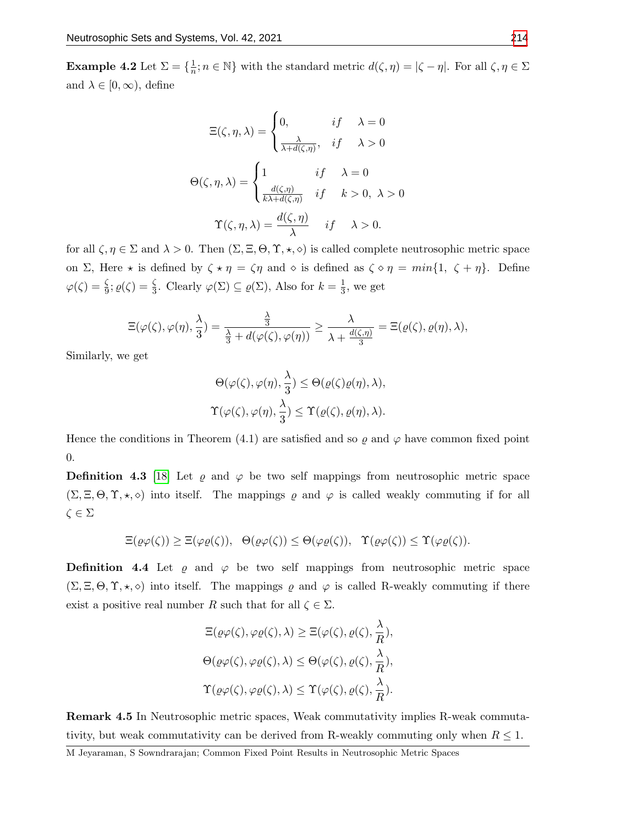**Example 4.2** Let  $\Sigma = \{\frac{1}{n}; n \in \mathbb{N}\}\$  with the standard metric  $d(\zeta, \eta) = |\zeta - \eta|$ . For all  $\zeta, \eta \in \Sigma$ and  $\lambda \in [0, \infty)$ , define

$$
\Xi(\zeta, \eta, \lambda) = \begin{cases}\n0, & if \quad \lambda = 0 \\
\frac{\lambda}{\lambda + d(\zeta, \eta)}, & if \quad \lambda > 0\n\end{cases}
$$
\n
$$
\Theta(\zeta, \eta, \lambda) = \begin{cases}\n1 & if \quad \lambda = 0 \\
\frac{d(\zeta, \eta)}{k\lambda + d(\zeta, \eta)} & if \quad k > 0, \ \lambda > 0\n\end{cases}
$$
\n
$$
\Upsilon(\zeta, \eta, \lambda) = \frac{d(\zeta, \eta)}{\lambda} \quad if \quad \lambda > 0.
$$

for all  $\zeta, \eta \in \Sigma$  and  $\lambda > 0$ . Then  $(\Sigma, \Xi, \Theta, \Upsilon, \star, \diamond)$  is called complete neutrosophic metric space on  $\Sigma$ , Here  $\star$  is defined by  $\zeta \star \eta = \zeta \eta$  and  $\diamond$  is defined as  $\zeta \diamond \eta = min\{1, \zeta + \eta\}$ . Define  $\varphi(\zeta) = \frac{\zeta}{9}$ ;  $\varrho(\zeta) = \frac{\zeta}{3}$ . Clearly  $\varphi(\Sigma) \subseteq \varrho(\Sigma)$ , Also for  $k = \frac{1}{3}$ , we get

$$
\Xi(\varphi(\zeta),\varphi(\eta),\frac{\lambda}{3})=\frac{\frac{\lambda}{3}}{\frac{\lambda}{3}+d(\varphi(\zeta),\varphi(\eta))}\geq \frac{\lambda}{\lambda+\frac{d(\zeta,\eta)}{3}}=\Xi(\varrho(\zeta),\varrho(\eta),\lambda),
$$

Similarly, we get

$$
\Theta(\varphi(\zeta), \varphi(\eta), \frac{\lambda}{3}) \leq \Theta(\varrho(\zeta)\varrho(\eta), \lambda),
$$
  

$$
\Upsilon(\varphi(\zeta), \varphi(\eta), \frac{\lambda}{3}) \leq \Upsilon(\varrho(\zeta), \varrho(\eta), \lambda).
$$

Hence the conditions in Theorem (4.1) are satisfied and so  $\varrho$  and  $\varphi$  have common fixed point 0.

**Definition 4.3** [\[18\]](#page-12-17) Let  $\rho$  and  $\varphi$  be two self mappings from neutrosophic metric space  $(\Sigma, \Xi, \Theta, \Upsilon, \star, \diamond)$  into itself. The mappings  $\varrho$  and  $\varphi$  is called weakly commuting if for all  $\zeta \in \Sigma$ 

$$
\Xi(\varrho\varphi(\zeta)) \geq \Xi(\varphi\varrho(\zeta)), \quad \Theta(\varrho\varphi(\zeta)) \leq \Theta(\varphi\varrho(\zeta)), \quad \Upsilon(\varrho\varphi(\zeta)) \leq \Upsilon(\varphi\varrho(\zeta)).
$$

**Definition 4.4** Let  $\varrho$  and  $\varphi$  be two self mappings from neutrosophic metric space  $(\Sigma, \Xi, \Theta, \Upsilon, \star, \diamond)$  into itself. The mappings  $\varrho$  and  $\varphi$  is called R-weakly commuting if there exist a positive real number R such that for all  $\zeta \in \Sigma$ .

$$
\begin{aligned} &\Xi(\varrho\varphi(\zeta),\varphi\varrho(\zeta),\lambda) \geq \Xi(\varphi(\zeta),\varrho(\zeta),\frac{\lambda}{R}),\\ &\Theta(\varrho\varphi(\zeta),\varphi\varrho(\zeta),\lambda) \leq \Theta(\varphi(\zeta),\varrho(\zeta),\frac{\lambda}{R}),\\ &\Upsilon(\varrho\varphi(\zeta),\varphi\varrho(\zeta),\lambda) \leq \Upsilon(\varphi(\zeta),\varrho(\zeta),\frac{\lambda}{R}). \end{aligned}
$$

Remark 4.5 In Neutrosophic metric spaces, Weak commutativity implies R-weak commutativity, but weak commutativity can be derived from R-weakly commuting only when  $R \leq 1$ .

M Jeyaraman, S Sowndrarajan; Common Fixed Point Results in Neutrosophic Metric Spaces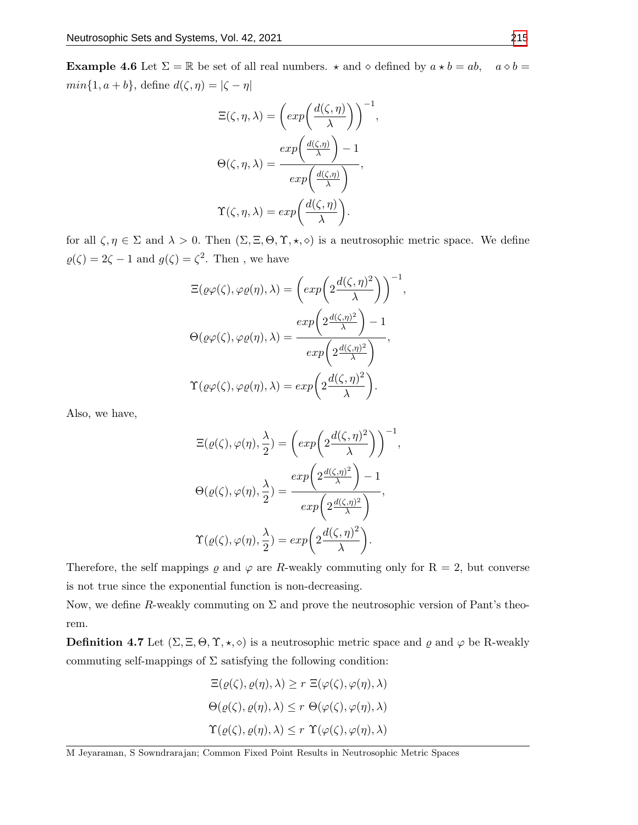**Example 4.6** Let  $\Sigma = \mathbb{R}$  be set of all real numbers.  $\star$  and  $\diamond$  defined by  $a \star b = ab$ ,  $a \diamond b =$  $min{1, a + b}$ , define  $d(\zeta, \eta) = |\zeta - \eta|$ 

$$
\Xi(\zeta, \eta, \lambda) = \left(\exp\left(\frac{d(\zeta, \eta)}{\lambda}\right)\right)^{-1},
$$

$$
\Theta(\zeta, \eta, \lambda) = \frac{\exp\left(\frac{d(\zeta, \eta)}{\lambda}\right) - 1}{\exp\left(\frac{d(\zeta, \eta)}{\lambda}\right)},
$$

$$
\Upsilon(\zeta, \eta, \lambda) = \exp\left(\frac{d(\zeta, \eta)}{\lambda}\right).
$$

for all  $\zeta, \eta \in \Sigma$  and  $\lambda > 0$ . Then  $(\Sigma, \Xi, \Theta, \Upsilon, \star, \diamond)$  is a neutrosophic metric space. We define  $\varrho(\zeta) = 2\zeta - 1$  and  $g(\zeta) = \zeta^2$ . Then, we have

$$
\begin{aligned} \Xi(\varrho\varphi(\zeta),\varphi\varrho(\eta),\lambda) &= \left(\exp\left(2\frac{d(\zeta,\eta)^2}{\lambda}\right)\right)^{-1}, \\ \Theta(\varrho\varphi(\zeta),\varphi\varrho(\eta),\lambda) &= \frac{\exp\left(2\frac{d(\zeta,\eta)^2}{\lambda}\right)-1}{\exp\left(2\frac{d(\zeta,\eta)^2}{\lambda}\right)}, \\ \Upsilon(\varrho\varphi(\zeta),\varphi\varrho(\eta),\lambda) &= \exp\left(2\frac{d(\zeta,\eta)^2}{\lambda}\right). \end{aligned}
$$

Also, we have,

$$
\begin{aligned}\n\Xi(\varrho(\zeta), \varphi(\eta), \frac{\lambda}{2}) &= \left(\exp\left(2\frac{d(\zeta, \eta)^2}{\lambda}\right)\right)^{-1}, \\
\Theta(\varrho(\zeta), \varphi(\eta), \frac{\lambda}{2}) &= \frac{\exp\left(2\frac{d(\zeta, \eta)^2}{\lambda}\right) - 1}{\exp\left(2\frac{d(\zeta, \eta)^2}{\lambda}\right)}, \\
\Upsilon(\varrho(\zeta), \varphi(\eta), \frac{\lambda}{2}) &= \exp\left(2\frac{d(\zeta, \eta)^2}{\lambda}\right).\n\end{aligned}
$$

Therefore, the self mappings  $\rho$  and  $\varphi$  are R-weakly commuting only for R = 2, but converse is not true since the exponential function is non-decreasing.

Now, we define R-weakly commuting on  $\Sigma$  and prove the neutrosophic version of Pant's theorem.

**Definition 4.7** Let  $(\Sigma, \Xi, \Theta, \Upsilon, \star, \diamond)$  is a neutrosophic metric space and  $\varrho$  and  $\varphi$  be R-weakly commuting self-mappings of  $\Sigma$  satisfying the following condition:

$$
\Xi(\varrho(\zeta), \varrho(\eta), \lambda) \ge r \ \Xi(\varphi(\zeta), \varphi(\eta), \lambda)
$$

$$
\Theta(\varrho(\zeta), \varrho(\eta), \lambda) \le r \ \Theta(\varphi(\zeta), \varphi(\eta), \lambda)
$$

$$
\Upsilon(\varrho(\zeta), \varrho(\eta), \lambda) \le r \ \Upsilon(\varphi(\zeta), \varphi(\eta), \lambda)
$$

M Jeyaraman, S Sowndrarajan; Common Fixed Point Results in Neutrosophic Metric Spaces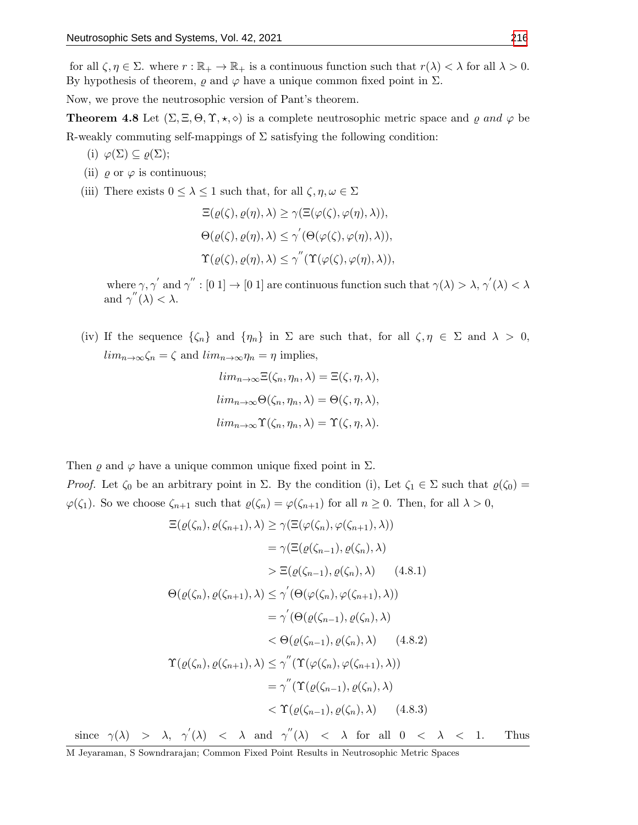for all  $\zeta, \eta \in \Sigma$ . where  $r : \mathbb{R}_+ \to \mathbb{R}_+$  is a continuous function such that  $r(\lambda) < \lambda$  for all  $\lambda > 0$ . By hypothesis of theorem,  $\varrho$  and  $\varphi$  have a unique common fixed point in  $\Sigma$ .

Now, we prove the neutrosophic version of Pant's theorem.

**Theorem 4.8** Let  $(\Sigma, \Xi, \Theta, \Upsilon, \star, \diamond)$  is a complete neutrosophic metric space and  $\varrho$  and  $\varphi$  be R-weakly commuting self-mappings of  $\Sigma$  satisfying the following condition:

- (i)  $\varphi(\Sigma) \subseteq \varrho(\Sigma)$ ;
- (ii)  $\varrho$  or  $\varphi$  is continuous;
- (iii) There exists  $0 \leq \lambda \leq 1$  such that, for all  $\zeta, \eta, \omega \in \Sigma$

$$
\begin{aligned} \Xi(\varrho(\zeta), \varrho(\eta), \lambda) &\geq \gamma(\Xi(\varphi(\zeta), \varphi(\eta), \lambda)), \\ \Theta(\varrho(\zeta), \varrho(\eta), \lambda) &\leq \gamma'(\Theta(\varphi(\zeta), \varphi(\eta), \lambda)), \\ \Upsilon(\varrho(\zeta), \varrho(\eta), \lambda) &\leq \gamma''(\Upsilon(\varphi(\zeta), \varphi(\eta), \lambda)), \end{aligned}
$$

where  $\gamma$ ,  $\gamma'$  and  $\gamma'' : [0,1] \to [0,1]$  are continuous function such that  $\gamma(\lambda) > \lambda$ ,  $\gamma'(\lambda) < \lambda$ and  $\gamma''(\lambda) < \lambda$ .

(iv) If the sequence  $\{\zeta_n\}$  and  $\{\eta_n\}$  in  $\Sigma$  are such that, for all  $\zeta, \eta \in \Sigma$  and  $\lambda > 0$ ,  $\lim_{n\to\infty}\zeta_n=\zeta$  and  $\lim_{n\to\infty}\eta_n=\eta$  implies,

$$
lim_{n\to\infty} \Xi(\zeta_n, \eta_n, \lambda) = \Xi(\zeta, \eta, \lambda),
$$
  
\n
$$
lim_{n\to\infty} \Theta(\zeta_n, \eta_n, \lambda) = \Theta(\zeta, \eta, \lambda),
$$
  
\n
$$
lim_{n\to\infty} \Upsilon(\zeta_n, \eta_n, \lambda) = \Upsilon(\zeta, \eta, \lambda).
$$

Then  $\varrho$  and  $\varphi$  have a unique common unique fixed point in  $\Sigma$ .

*Proof.* Let  $\zeta_0$  be an arbitrary point in  $\Sigma$ . By the condition (i), Let  $\zeta_1 \in \Sigma$  such that  $\varrho(\zeta_0) =$  $\varphi(\zeta_1)$ . So we choose  $\zeta_{n+1}$  such that  $\varrho(\zeta_n) = \varphi(\zeta_{n+1})$  for all  $n \geq 0$ . Then, for all  $\lambda > 0$ ,

$$
\begin{split}\n\Xi(\varrho(\zeta_n), \varrho(\zeta_{n+1}), \lambda) &\ge \gamma(\Xi(\varphi(\zeta_n), \varphi(\zeta_{n+1}), \lambda)) \\
&= \gamma(\Xi(\varrho(\zeta_{n-1}), \varrho(\zeta_n), \lambda) \\
&> \Xi(\varrho(\zeta_{n-1}), \varrho(\zeta_n), \lambda) \quad (4.8.1) \\
\Theta(\varrho(\zeta_n), \varrho(\zeta_{n+1}), \lambda) &\le \gamma'(\Theta(\varphi(\zeta_n), \varphi(\zeta_{n+1}), \lambda)) \\
&= \gamma'(\Theta(\varrho(\zeta_{n-1}), \varrho(\zeta_n), \lambda) \\
&< \Theta(\varrho(\zeta_{n-1}), \varrho(\zeta_n), \lambda) \quad (4.8.2) \\
\Upsilon(\varrho(\zeta_n), \varrho(\zeta_{n+1}), \lambda) &\le \gamma''(\Upsilon(\varphi(\zeta_n), \varphi(\zeta_{n+1}), \lambda)) \\
&= \gamma''(\Upsilon(\varrho(\zeta_{n-1}), \varrho(\zeta_n), \lambda) \\
&< \Upsilon(\varrho(\zeta_{n-1}), \varrho(\zeta_n), \lambda) \quad (4.8.3)\n\end{split}
$$

since  $\gamma(\lambda)$  >  $\lambda$ ,  $\gamma'(\lambda)$  <  $\lambda$  and  $\gamma''(\lambda)$  <  $\lambda$  for all  $0$  <  $\lambda$  < 1. Thus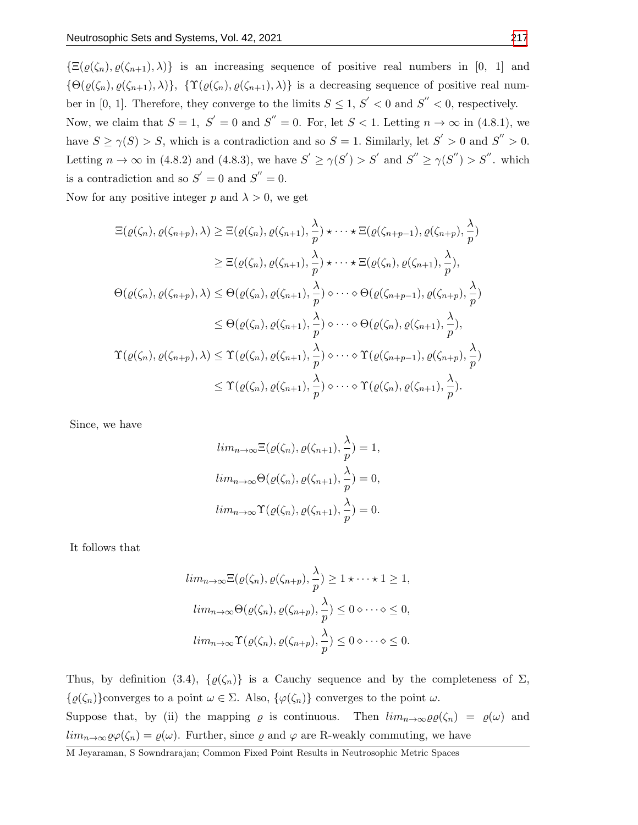$\{\Xi(\varrho(\zeta_n), \varrho(\zeta_{n+1}), \lambda)\}\$ is an increasing sequence of positive real numbers in [0, 1] and  ${\Theta(\varrho(\zeta_n), \varrho(\zeta_{n+1}), \lambda)}, {\Upsilon(\varrho(\zeta_n), \varrho(\zeta_{n+1}), \lambda)}$  is a decreasing sequence of positive real number in [0, 1]. Therefore, they converge to the limits  $S \leq 1, S' < 0$  and  $S'' < 0$ , respectively. Now, we claim that  $S = 1$ ,  $S' = 0$  and  $S'' = 0$ . For, let  $S < 1$ . Letting  $n \to \infty$  in (4.8.1), we have  $S \ge \gamma(S) > S$ , which is a contradiction and so  $S = 1$ . Similarly, let  $S' > 0$  and  $S'' > 0$ . Letting  $n \to \infty$  in (4.8.2) and (4.8.3), we have  $S' \geq \gamma(S') > S'$  and  $S'' \geq \gamma(S'') > S''$ . which is a contradiction and so  $S' = 0$  and  $S'' = 0$ .

Now for any positive integer p and  $\lambda > 0$ , we get

$$
\begin{split}\n\Xi(\varrho(\zeta_{n}), \varrho(\zeta_{n+p}), \lambda) &\geq \Xi(\varrho(\zeta_{n}), \varrho(\zeta_{n+1}), \frac{\lambda}{p}) \star \cdots \star \Xi(\varrho(\zeta_{n+p-1}), \varrho(\zeta_{n+p}), \frac{\lambda}{p}) \\
&\geq \Xi(\varrho(\zeta_{n}), \varrho(\zeta_{n+1}), \frac{\lambda}{p}) \star \cdots \star \Xi(\varrho(\zeta_{n}), \varrho(\zeta_{n+1}), \frac{\lambda}{p}), \\
\Theta(\varrho(\zeta_{n}), \varrho(\zeta_{n+p}), \lambda) &\leq \Theta(\varrho(\zeta_{n}), \varrho(\zeta_{n+1}), \frac{\lambda}{p}) \diamond \cdots \diamond \Theta(\varrho(\zeta_{n+p-1}), \varrho(\zeta_{n+p}), \frac{\lambda}{p}) \\
&\leq \Theta(\varrho(\zeta_{n}), \varrho(\zeta_{n+1}), \frac{\lambda}{p}) \diamond \cdots \diamond \Theta(\varrho(\zeta_{n}), \varrho(\zeta_{n+1}), \frac{\lambda}{p}), \\
\Upsilon(\varrho(\zeta_{n}), \varrho(\zeta_{n+p}), \lambda) &\leq \Upsilon(\varrho(\zeta_{n}), \varrho(\zeta_{n+1}), \frac{\lambda}{p}) \diamond \cdots \diamond \Upsilon(\varrho(\zeta_{n+p-1}), \varrho(\zeta_{n+p}), \frac{\lambda}{p}) \\
&\leq \Upsilon(\varrho(\zeta_{n}), \varrho(\zeta_{n+1}), \frac{\lambda}{p}) \diamond \cdots \diamond \Upsilon(\varrho(\zeta_{n}), \varrho(\zeta_{n+1}), \frac{\lambda}{p}).\n\end{split}
$$

Since, we have

$$
lim_{n\to\infty} \Xi(\varrho(\zeta_n), \varrho(\zeta_{n+1}), \frac{\lambda}{p}) = 1,
$$
  
\n
$$
lim_{n\to\infty} \Theta(\varrho(\zeta_n), \varrho(\zeta_{n+1}), \frac{\lambda}{p}) = 0,
$$
  
\n
$$
lim_{n\to\infty} \Upsilon(\varrho(\zeta_n), \varrho(\zeta_{n+1}), \frac{\lambda}{p}) = 0.
$$

It follows that

$$
lim_{n\to\infty} \Xi(\varrho(\zeta_n), \varrho(\zeta_{n+p}), \frac{\lambda}{p}) \ge 1 \star \cdots \star 1 \ge 1,
$$
  

$$
lim_{n\to\infty} \Theta(\varrho(\zeta_n), \varrho(\zeta_{n+p}), \frac{\lambda}{p}) \le 0 \diamond \cdots \diamond \le 0,
$$
  

$$
lim_{n\to\infty} \Upsilon(\varrho(\zeta_n), \varrho(\zeta_{n+p}), \frac{\lambda}{p}) \le 0 \diamond \cdots \diamond \le 0.
$$

Thus, by definition (3.4),  $\{\varrho(\zeta_n)\}\$ is a Cauchy sequence and by the completeness of  $\Sigma$ ,  $\{\varrho(\zeta_n)\}$ converges to a point  $\omega \in \Sigma$ . Also,  $\{\varphi(\zeta_n)\}$  converges to the point  $\omega$ . Suppose that, by (ii) the mapping  $\varrho$  is continuous. Then  $\lim_{n\to\infty}\varrho\varrho(\zeta_n) = \varrho(\omega)$  and  $\lim_{n\to\infty}\varrho\varphi(\zeta_n)=\varrho(\omega)$ . Further, since  $\varrho$  and  $\varphi$  are R-weakly commuting, we have

M Jeyaraman, S Sowndrarajan; Common Fixed Point Results in Neutrosophic Metric Spaces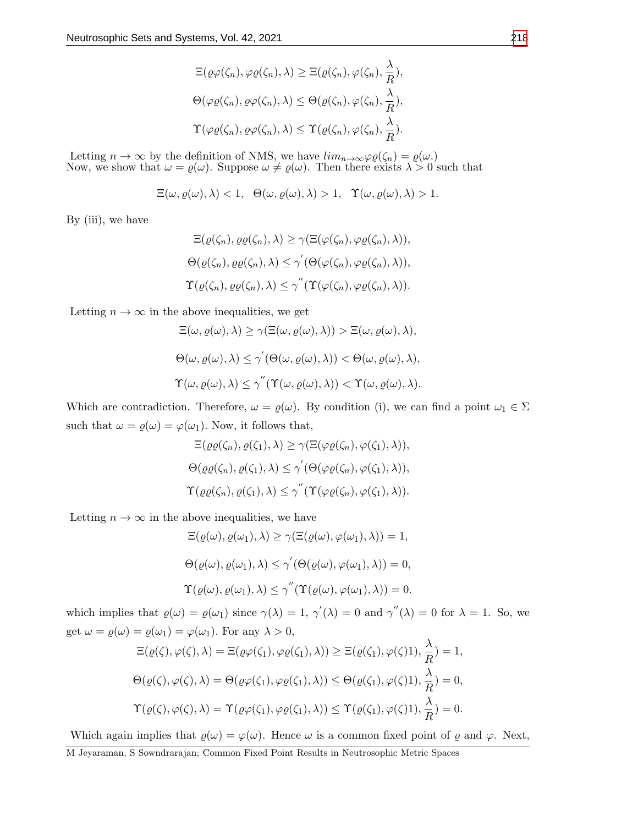$$
\begin{aligned} \Xi(\varrho\varphi(\zeta_n),\varphi\varrho(\zeta_n),\lambda) &\geq \Xi(\varrho(\zeta_n),\varphi(\zeta_n),\frac{\lambda}{R}),\\ \Theta(\varphi\varrho(\zeta_n),\varrho\varphi(\zeta_n),\lambda) &\leq \Theta(\varrho(\zeta_n),\varphi(\zeta_n),\frac{\lambda}{R}),\\ \Upsilon(\varphi\varrho(\zeta_n),\varrho\varphi(\zeta_n),\lambda) &\leq \Upsilon(\varrho(\zeta_n),\varphi(\zeta_n),\frac{\lambda}{R}). \end{aligned}
$$

Letting  $n \to \infty$  by the definition of NMS, we have  $\lim_{n \to \infty} \varphi \varrho(\zeta_n) = \varrho(\omega)$ . Now, we show that  $\omega = \varrho(\omega)$ . Suppose  $\omega \neq \varrho(\omega)$ . Then there exists  $\lambda > 0$  such that

$$
\Xi(\omega,\varrho(\omega),\lambda)<1,\ \ \Theta(\omega,\varrho(\omega),\lambda)>1,\ \ \Upsilon(\omega,\varrho(\omega),\lambda)>1.
$$

By (iii), we have

$$
\begin{aligned} \Xi(\varrho(\zeta_n), \varrho\varrho(\zeta_n), \lambda) &\geq \gamma(\Xi(\varphi(\zeta_n), \varphi\varrho(\zeta_n), \lambda)), \\ \Theta(\varrho(\zeta_n), \varrho\varrho(\zeta_n), \lambda) &\leq \gamma'(\Theta(\varphi(\zeta_n), \varphi\varrho(\zeta_n), \lambda)), \\ \Upsilon(\varrho(\zeta_n), \varrho\varrho(\zeta_n), \lambda) &\leq \gamma''(\Upsilon(\varphi(\zeta_n), \varphi\varrho(\zeta_n), \lambda)). \end{aligned}
$$

Letting  $n \to \infty$  in the above inequalities, we get

$$
\begin{aligned} &\Xi(\omega,\varrho(\omega),\lambda)\geq \gamma(\Xi(\omega,\varrho(\omega),\lambda))>\Xi(\omega,\varrho(\omega),\lambda),\\ &\Theta(\omega,\varrho(\omega),\lambda)\leq \gamma^{'}(\Theta(\omega,\varrho(\omega),\lambda))<\Theta(\omega,\varrho(\omega),\lambda),\\ &\Upsilon(\omega,\varrho(\omega),\lambda)\leq \gamma^{''}(\Upsilon(\omega,\varrho(\omega),\lambda))<\Upsilon(\omega,\varrho(\omega),\lambda). \end{aligned}
$$

Which are contradiction. Therefore,  $\omega = \varrho(\omega)$ . By condition (i), we can find a point  $\omega_1 \in \Sigma$ such that  $\omega = \varrho(\omega) = \varphi(\omega_1)$ . Now, it follows that,

$$
\begin{aligned} \Xi(\varrho\varrho(\zeta_n), \varrho(\zeta_1), \lambda) &\geq \gamma(\Xi(\varphi\varrho(\zeta_n), \varphi(\zeta_1), \lambda)), \\ \Theta(\varrho\varrho(\zeta_n), \varrho(\zeta_1), \lambda) &\leq \gamma'(\Theta(\varphi\varrho(\zeta_n), \varphi(\zeta_1), \lambda)), \\ \Upsilon(\varrho\varrho(\zeta_n), \varrho(\zeta_1), \lambda) &\leq \gamma''(\Upsilon(\varphi\varrho(\zeta_n), \varphi(\zeta_1), \lambda)). \end{aligned}
$$

Letting  $n \to \infty$  in the above inequalities, we have

$$
\begin{aligned} \Xi(\varrho(\omega), \varrho(\omega_1), \lambda) &\geq \gamma(\Xi(\varrho(\omega), \varphi(\omega_1), \lambda)) = 1, \\ \Theta(\varrho(\omega), \varrho(\omega_1), \lambda) &\leq \gamma'(\Theta(\varrho(\omega), \varphi(\omega_1), \lambda)) = 0, \\ \Upsilon(\varrho(\omega), \varrho(\omega_1), \lambda) &\leq \gamma''(\Upsilon(\varrho(\omega), \varphi(\omega_1), \lambda)) = 0. \end{aligned}
$$

which implies that  $\varrho(\omega) = \varrho(\omega_1)$  since  $\gamma(\lambda) = 1$ ,  $\gamma'(\lambda) = 0$  and  $\gamma''(\lambda) = 0$  for  $\lambda = 1$ . So, we get  $\omega = \varrho(\omega) = \varrho(\omega_1) = \varphi(\omega_1)$ . For any  $\lambda > 0$ ,

$$
\begin{aligned}\n\Xi(\varrho(\zeta),\varphi(\zeta),\lambda) &= \Xi(\varrho\varphi(\zeta_1),\varphi\varrho(\zeta_1),\lambda)) \geq \Xi(\varrho(\zeta_1),\varphi(\zeta)1), \frac{\lambda}{R}) = 1, \\
\Theta(\varrho(\zeta),\varphi(\zeta),\lambda) &= \Theta(\varrho\varphi(\zeta_1),\varphi\varrho(\zeta_1),\lambda)) \leq \Theta(\varrho(\zeta_1),\varphi(\zeta)1), \frac{\lambda}{R}) = 0, \\
\Upsilon(\varrho(\zeta),\varphi(\zeta),\lambda) &= \Upsilon(\varrho\varphi(\zeta_1),\varphi\varrho(\zeta_1),\lambda)) \leq \Upsilon(\varrho(\zeta_1),\varphi(\zeta)1), \frac{\lambda}{R}) = 0.\n\end{aligned}
$$

Which again implies that  $\varrho(\omega) = \varphi(\omega)$ . Hence  $\omega$  is a common fixed point of  $\varrho$  and  $\varphi$ . Next,

M Jeyaraman, S Sowndrarajan; Common Fixed Point Results in Neutrosophic Metric Spaces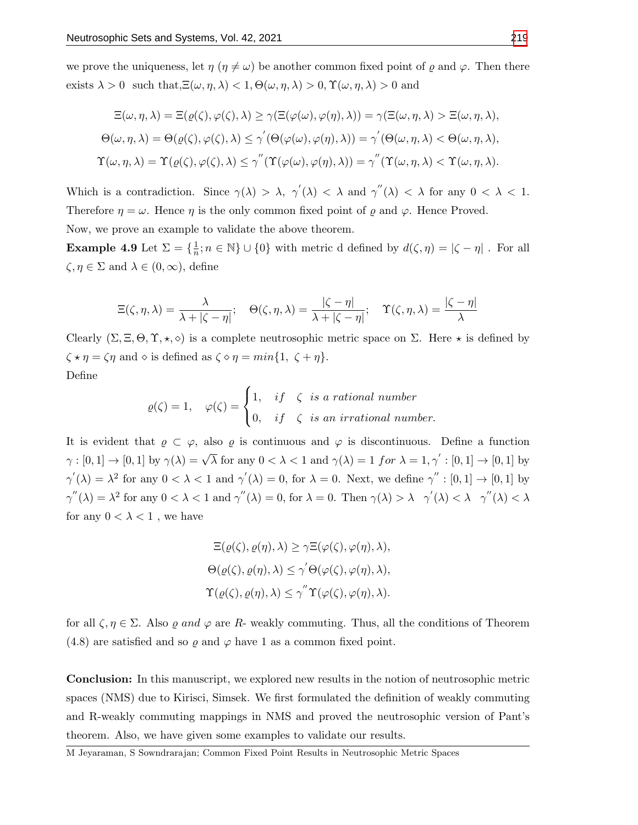we prove the uniqueness, let  $\eta$  ( $\eta \neq \omega$ ) be another common fixed point of  $\varrho$  and  $\varphi$ . Then there exists  $\lambda > 0$  such that, $\Xi(\omega, \eta, \lambda) < 1$ ,  $\Theta(\omega, \eta, \lambda) > 0$ ,  $\Upsilon(\omega, \eta, \lambda) > 0$  and

$$
\begin{aligned} \Xi(\omega,\eta,\lambda) &= \Xi(\varrho(\zeta),\varphi(\zeta),\lambda) \ge \gamma(\Xi(\varphi(\omega),\varphi(\eta),\lambda)) = \gamma(\Xi(\omega,\eta,\lambda) > \Xi(\omega,\eta,\lambda), \\ \Theta(\omega,\eta,\lambda) &= \Theta(\varrho(\zeta),\varphi(\zeta),\lambda) \le \gamma'(\Theta(\varphi(\omega),\varphi(\eta),\lambda)) = \gamma'(\Theta(\omega,\eta,\lambda) < \Theta(\omega,\eta,\lambda), \\ \Upsilon(\omega,\eta,\lambda) &= \Upsilon(\varrho(\zeta),\varphi(\zeta),\lambda) \le \gamma''(\Upsilon(\varphi(\omega),\varphi(\eta),\lambda)) = \gamma''(\Upsilon(\omega,\eta,\lambda) < \Upsilon(\omega,\eta,\lambda). \end{aligned}
$$

Which is a contradiction. Since  $\gamma(\lambda) > \lambda$ ,  $\gamma'(\lambda) < \lambda$  and  $\gamma''(\lambda) < \lambda$  for any  $0 < \lambda < 1$ . Therefore  $\eta = \omega$ . Hence  $\eta$  is the only common fixed point of  $\rho$  and  $\varphi$ . Hence Proved. Now, we prove an example to validate the above theorem.

**Example 4.9** Let  $\Sigma = \{\frac{1}{n}; n \in \mathbb{N}\} \cup \{0\}$  with metric d defined by  $d(\zeta, \eta) = |\zeta - \eta|$ . For all  $\zeta, \eta \in \Sigma$  and  $\lambda \in (0, \infty)$ , define

$$
\Xi(\zeta,\eta,\lambda) = \frac{\lambda}{\lambda + |\zeta - \eta|}; \quad \Theta(\zeta,\eta,\lambda) = \frac{|\zeta - \eta|}{\lambda + |\zeta - \eta|}; \quad \Upsilon(\zeta,\eta,\lambda) = \frac{|\zeta - \eta|}{\lambda}
$$

Clearly  $(\Sigma, \Xi, \Theta, \Upsilon, \star, \diamond)$  is a complete neutrosophic metric space on  $\Sigma$ . Here  $\star$  is defined by  $\zeta \star \eta = \zeta \eta$  and  $\diamond$  is defined as  $\zeta \diamond \eta = min\{1, \zeta + \eta\}.$ Define

$$
\varrho(\zeta) = 1, \quad \varphi(\zeta) = \begin{cases} 1, & if \quad \zeta \text{ is a rational number} \\ 0, & if \quad \zeta \text{ is an irrational number.} \end{cases}
$$

It is evident that  $\rho \subset \varphi$ , also  $\rho$  is continuous and  $\varphi$  is discontinuous. Define a function  $\gamma : [0,1] \to [0,1]$  by  $\gamma(\lambda) = \sqrt{\lambda}$  for any  $0 < \lambda < 1$  and  $\gamma(\lambda) = 1$  for  $\lambda = 1, \gamma' : [0,1] \to [0,1]$  by  $\gamma'(\lambda) = \lambda^2$  for any  $0 < \lambda < 1$  and  $\gamma'(\lambda) = 0$ , for  $\lambda = 0$ . Next, we define  $\gamma'' : [0,1] \to [0,1]$  by  $\gamma''(\lambda) = \lambda^2$  for any  $0 < \lambda < 1$  and  $\gamma''(\lambda) = 0$ , for  $\lambda = 0$ . Then  $\gamma(\lambda) > \lambda$   $\gamma'(\lambda) < \lambda$   $\gamma''(\lambda) < \lambda$ for any  $0 < \lambda < 1$ , we have

$$
\begin{aligned} \Xi(\varrho(\zeta), \varrho(\eta), \lambda) &\geq \gamma \Xi(\varphi(\zeta), \varphi(\eta), \lambda), \\ \Theta(\varrho(\zeta), \varrho(\eta), \lambda) &\leq \gamma' \Theta(\varphi(\zeta), \varphi(\eta), \lambda), \\ \Upsilon(\varrho(\zeta), \varrho(\eta), \lambda) &\leq \gamma'' \Upsilon(\varphi(\zeta), \varphi(\eta), \lambda). \end{aligned}
$$

for all  $\zeta, \eta \in \Sigma$ . Also  $\varrho$  and  $\varphi$  are R- weakly commuting. Thus, all the conditions of Theorem (4.8) are satisfied and so  $\rho$  and  $\varphi$  have 1 as a common fixed point.

Conclusion: In this manuscript, we explored new results in the notion of neutrosophic metric spaces (NMS) due to Kirisci, Simsek. We first formulated the definition of weakly commuting and R-weakly commuting mappings in NMS and proved the neutrosophic version of Pant's theorem. Also, we have given some examples to validate our results.

M Jeyaraman, S Sowndrarajan; Common Fixed Point Results in Neutrosophic Metric Spaces